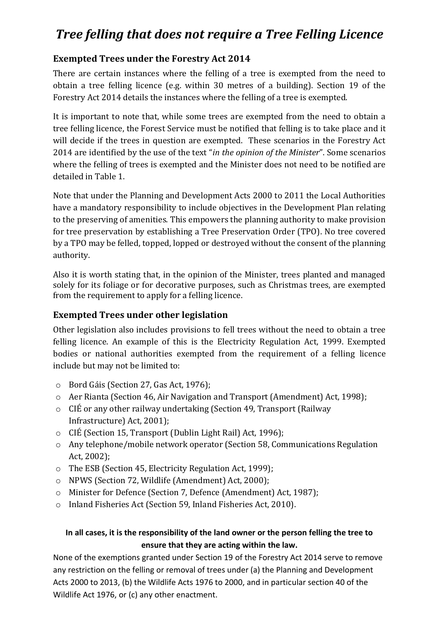## *Tree felling that does not require a Tree Felling Licence*

## **Exempted Trees under the Forestry Act 2014**

There are certain instances where the felling of a tree is exempted from the need to obtain a tree felling licence (e.g. within 30 metres of a building). Section 19 of the Forestry Act 2014 details the instances where the felling of a tree is exempted.

It is important to note that, while some trees are exempted from the need to obtain a tree felling licence, the Forest Service must be notified that felling is to take place and it will decide if the trees in question are exempted. These scenarios in the Forestry Act 2014 are identified by the use of the text "*in the opinion of the Minister*". Some scenarios where the felling of trees is exempted and the Minister does not need to be notified are detailed in Table 1.

Note that under the Planning and Development Acts 2000 to 2011 the Local Authorities have a mandatory responsibility to include objectives in the Development Plan relating to the preserving of amenities. This empowers the planning authority to make provision for tree preservation by establishing a Tree Preservation Order (TPO). No tree covered by a TPO may be felled, topped, lopped or destroyed without the consent of the planning authority.

Also it is worth stating that, in the opinion of the Minister, trees planted and managed solely for its foliage or for decorative purposes, such as Christmas trees, are exempted from the requirement to apply for a felling licence.

## **Exempted Trees under other legislation**

Other legislation also includes provisions to fell trees without the need to obtain a tree felling licence. An example of this is the Electricity Regulation Act, 1999. Exempted bodies or national authorities exempted from the requirement of a felling licence include but may not be limited to:

- o Bord Gáis (Section 27, Gas Act, 1976);
- o Aer Rianta (Section 46, Air Navigation and Transport (Amendment) Act, 1998);
- o CIÉ or any other railway undertaking (Section 49, Transport (Railway Infrastructure) Act, 2001);
- o CIÉ (Section 15, Transport (Dublin Light Rail) Act, 1996);
- o Any telephone/mobile network operator (Section 58, Communications Regulation Act, 2002);
- o The ESB (Section 45, Electricity Regulation Act, 1999);
- o NPWS (Section 72, Wildlife (Amendment) Act, 2000);
- o Minister for Defence (Section 7, Defence (Amendment) Act, 1987);
- o Inland Fisheries Act (Section 59, Inland Fisheries Act, 2010).

## **In all cases, it is the responsibility of the land owner or the person felling the tree to ensure that they are acting within the law.**

None of the exemptions granted under Section 19 of the Forestry Act 2014 serve to remove any restriction on the felling or removal of trees under (a) the Planning and Development Acts 2000 to 2013, (b) the Wildlife Acts 1976 to 2000, and in particular section 40 of the Wildlife Act 1976, or (c) any other enactment.